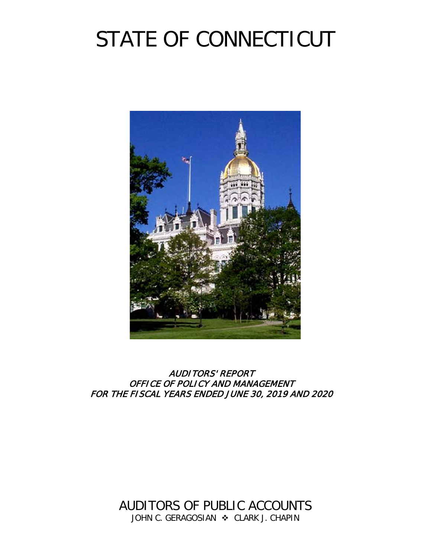# STATE OF CONNECTICUT



AUDITORS' REPORT OFFICE OF POLICY AND MANAGEMENT FOR THE FISCAL YEARS ENDED JUNE 30, 2019 AND 2020

> AUDITORS OF PUBLIC ACCOUNTS JOHN C. GERAGOSIAN  $\cdot$  CLARK J. CHAPIN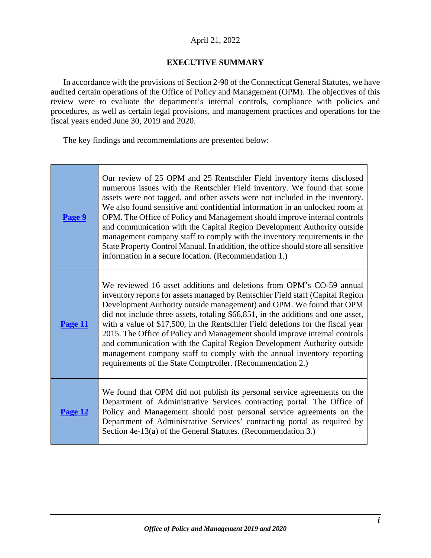#### April 21, 2022

# **EXECUTIVE SUMMARY**

<span id="page-2-0"></span>In accordance with the provisions of Section 2-90 of the Connecticut General Statutes, we have audited certain operations of the Office of Policy and Management (OPM). The objectives of this review were to evaluate the department's internal controls, compliance with policies and procedures, as well as certain legal provisions, and management practices and operations for the fiscal years ended June 30, 2019 and 2020.

The key findings and recommendations are presented below:

| Page 9  | Our review of 25 OPM and 25 Rentschler Field inventory items disclosed<br>numerous issues with the Rentschler Field inventory. We found that some<br>assets were not tagged, and other assets were not included in the inventory.<br>We also found sensitive and confidential information in an unlocked room at<br>OPM. The Office of Policy and Management should improve internal controls<br>and communication with the Capital Region Development Authority outside<br>management company staff to comply with the inventory requirements in the<br>State Property Control Manual. In addition, the office should store all sensitive<br>information in a secure location. (Recommendation 1.)    |
|---------|--------------------------------------------------------------------------------------------------------------------------------------------------------------------------------------------------------------------------------------------------------------------------------------------------------------------------------------------------------------------------------------------------------------------------------------------------------------------------------------------------------------------------------------------------------------------------------------------------------------------------------------------------------------------------------------------------------|
| Page 11 | We reviewed 16 asset additions and deletions from OPM's CO-59 annual<br>inventory reports for assets managed by Rentschler Field staff (Capital Region<br>Development Authority outside management) and OPM. We found that OPM<br>did not include three assets, totaling \$66,851, in the additions and one asset,<br>with a value of \$17,500, in the Rentschler Field deletions for the fiscal year<br>2015. The Office of Policy and Management should improve internal controls<br>and communication with the Capital Region Development Authority outside<br>management company staff to comply with the annual inventory reporting<br>requirements of the State Comptroller. (Recommendation 2.) |
| Page 12 | We found that OPM did not publish its personal service agreements on the<br>Department of Administrative Services contracting portal. The Office of<br>Policy and Management should post personal service agreements on the<br>Department of Administrative Services' contracting portal as required by<br>Section 4e-13(a) of the General Statutes. (Recommendation 3.)                                                                                                                                                                                                                                                                                                                               |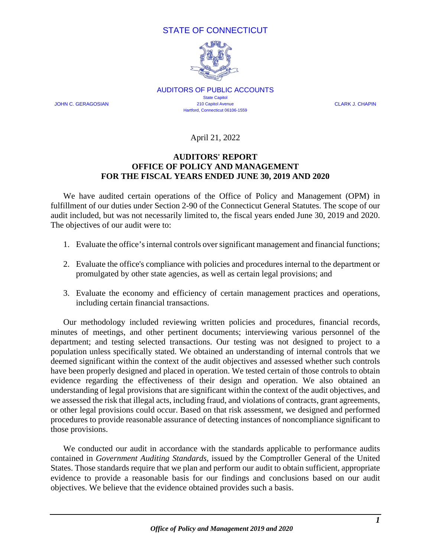# STATE OF CONNECTICUT



AUDITORS OF PUBLIC ACCOUNTS State Capitol JOHN C. GERAGOSIAN 210 Capitol Avenue CLARK J. CHAPIN Hartford, Connecticut 06106-1559

#### April 21, 2022

#### **AUDITORS' REPORT OFFICE OF POLICY AND MANAGEMENT FOR THE FISCAL YEARS ENDED JUNE 30, 2019 AND 2020**

We have audited certain operations of the Office of Policy and Management (OPM) in fulfillment of our duties under Section 2-90 of the Connecticut General Statutes. The scope of our audit included, but was not necessarily limited to, the fiscal years ended June 30, 2019 and 2020. The objectives of our audit were to:

- 1. Evaluate the office's internal controls over significant management and financial functions;
- 2. Evaluate the office's compliance with policies and procedures internal to the department or promulgated by other state agencies, as well as certain legal provisions; and
- 3. Evaluate the economy and efficiency of certain management practices and operations, including certain financial transactions.

Our methodology included reviewing written policies and procedures, financial records, minutes of meetings, and other pertinent documents; interviewing various personnel of the department; and testing selected transactions. Our testing was not designed to project to a population unless specifically stated. We obtained an understanding of internal controls that we deemed significant within the context of the audit objectives and assessed whether such controls have been properly designed and placed in operation. We tested certain of those controls to obtain evidence regarding the effectiveness of their design and operation. We also obtained an understanding of legal provisions that are significant within the context of the audit objectives, and we assessed the risk that illegal acts, including fraud, and violations of contracts, grant agreements, or other legal provisions could occur. Based on that risk assessment, we designed and performed procedures to provide reasonable assurance of detecting instances of noncompliance significant to those provisions.

We conducted our audit in accordance with the standards applicable to performance audits contained in *Government Auditing Standards*, issued by the Comptroller General of the United States. Those standards require that we plan and perform our audit to obtain sufficient, appropriate evidence to provide a reasonable basis for our findings and conclusions based on our audit objectives. We believe that the evidence obtained provides such a basis.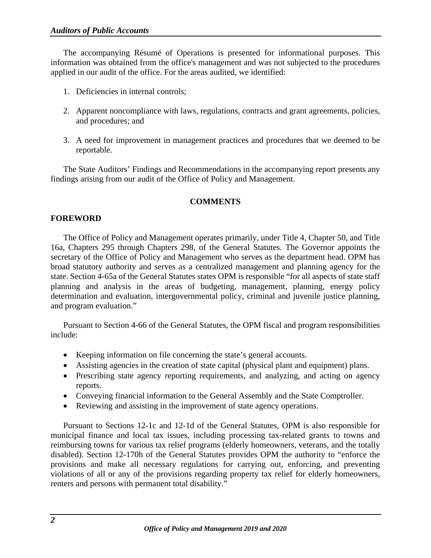The accompanying Résumé of Operations is presented for informational purposes. This information was obtained from the office's management and was not subjected to the procedures applied in our audit of the office. For the areas audited, we identified:

- 1. Deficiencies in internal controls;
- 2. Apparent noncompliance with laws, regulations, contracts and grant agreements, policies, and procedures; and
- 3. A need for improvement in management practices and procedures that we deemed to be reportable.

<span id="page-4-0"></span>The State Auditors' Findings and Recommendations in the accompanying report presents any findings arising from our audit of the Office of Policy and Management.

#### **COMMENTS**

#### <span id="page-4-1"></span>**FOREWORD**

The Office of Policy and Management operates primarily, under Title 4, Chapter 50, and Title 16a, Chapters 295 through Chapters 298, of the General Statutes. The Governor appoints the secretary of the Office of Policy and Management who serves as the department head. OPM has broad statutory authority and serves as a centralized management and planning agency for the state. Section 4-65a of the General Statutes states OPM is responsible "for all aspects of state staff planning and analysis in the areas of budgeting, management, planning, energy policy determination and evaluation, intergovernmental policy, criminal and juvenile justice planning, and program evaluation."

Pursuant to Section 4-66 of the General Statutes, the OPM fiscal and program responsibilities include:

- Keeping information on file concerning the state's general accounts.
- Assisting agencies in the creation of state capital (physical plant and equipment) plans.
- Prescribing state agency reporting requirements, and analyzing, and acting on agency reports.
- Conveying financial information to the General Assembly and the State Comptroller.
- Reviewing and assisting in the improvement of state agency operations.

Pursuant to Sections 12-1c and 12-1d of the General Statutes, OPM is also responsible for municipal finance and local tax issues, including processing tax-related grants to towns and reimbursing towns for various tax relief programs (elderly homeowners, veterans, and the totally disabled). Section 12-170h of the General Statutes provides OPM the authority to "enforce the provisions and make all necessary regulations for carrying out, enforcing, and preventing violations of all or any of the provisions regarding property tax relief for elderly homeowners, renters and persons with permanent total disability."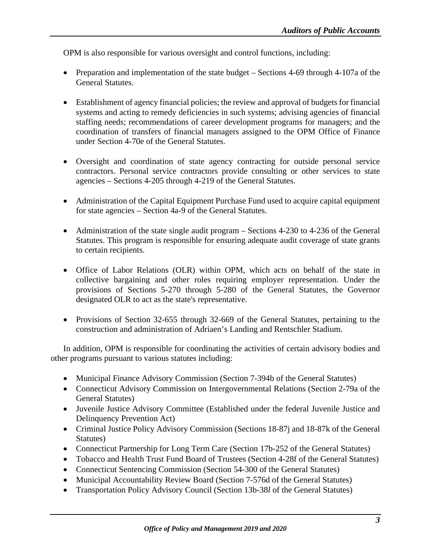OPM is also responsible for various oversight and control functions, including:

- Preparation and implementation of the state budget Sections 4-69 through 4-107a of the General Statutes.
- Establishment of agency financial policies; the review and approval of budgets for financial systems and acting to remedy deficiencies in such systems; advising agencies of financial staffing needs; recommendations of career development programs for managers; and the coordination of transfers of financial managers assigned to the OPM Office of Finance under Section 4-70e of the General Statutes.
- Oversight and coordination of state agency contracting for outside personal service contractors. Personal service contractors provide consulting or other services to state agencies – Sections 4-205 through 4-219 of the General Statutes.
- Administration of the Capital Equipment Purchase Fund used to acquire capital equipment for state agencies – Section 4a-9 of the General Statutes.
- Administration of the state single audit program Sections 4-230 to 4-236 of the General Statutes. This program is responsible for ensuring adequate audit coverage of state grants to certain recipients.
- Office of Labor Relations (OLR) within OPM, which acts on behalf of the state in collective bargaining and other roles requiring employer representation. Under the provisions of Sections 5-270 through 5-280 of the General Statutes, the Governor designated OLR to act as the state's representative.
- Provisions of Section 32-655 through 32-669 of the General Statutes, pertaining to the construction and administration of Adriaen's Landing and Rentschler Stadium.

In addition, OPM is responsible for coordinating the activities of certain advisory bodies and other programs pursuant to various statutes including:

- Municipal Finance Advisory Commission (Section 7-394b of the General Statutes)
- Connecticut Advisory Commission on Intergovernmental Relations (Section 2-79a of the General Statutes)
- Juvenile Justice Advisory Committee (Established under the federal Juvenile Justice and Delinquency Prevention Act)
- Criminal Justice Policy Advisory Commission (Sections 18-87j and 18-87k of the General Statutes)
- Connecticut Partnership for Long Term Care (Section 17b-252 of the General Statutes)
- Tobacco and Health Trust Fund Board of Trustees (Section 4-28f of the General Statutes)
- Connecticut Sentencing Commission (Section 54-300 of the General Statutes)
- Municipal Accountability Review Board (Section 7-576d of the General Statutes)
- Transportation Policy Advisory Council (Section 13b-38*l* of the General Statutes)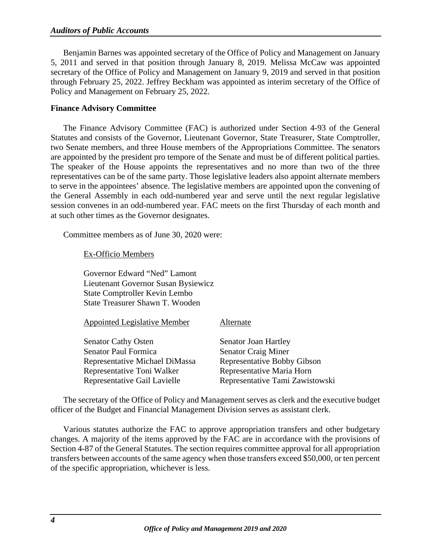Benjamin Barnes was appointed secretary of the Office of Policy and Management on January 5, 2011 and served in that position through January 8, 2019. Melissa McCaw was appointed secretary of the Office of Policy and Management on January 9, 2019 and served in that position through February 25, 2022. Jeffrey Beckham was appointed as interim secretary of the Office of Policy and Management on February 25, 2022.

#### <span id="page-6-0"></span>**Finance Advisory Committee**

The Finance Advisory Committee (FAC) is authorized under Section 4-93 of the General Statutes and consists of the Governor, Lieutenant Governor, State Treasurer, State Comptroller, two Senate members, and three House members of the Appropriations Committee. The senators are appointed by the president pro tempore of the Senate and must be of different political parties. The speaker of the House appoints the representatives and no more than two of the three representatives can be of the same party. Those legislative leaders also appoint alternate members to serve in the appointees' absence. The legislative members are appointed upon the convening of the General Assembly in each odd-numbered year and serve until the next regular legislative session convenes in an odd-numbered year. FAC meets on the first Thursday of each month and at such other times as the Governor designates.

Committee members as of June 30, 2020 were:

#### Ex-Officio Members

Governor Edward "Ned" Lamont Lieutenant Governor Susan Bysiewicz State Comptroller Kevin Lembo State Treasurer Shawn T. Wooden

Appointed Legislative Member Alternate

| <b>Senator Cathy Osten</b>     | <b>Senator Joan Hartley</b>     |
|--------------------------------|---------------------------------|
| <b>Senator Paul Formica</b>    | <b>Senator Craig Miner</b>      |
| Representative Michael DiMassa | Representative Bobby Gibson     |
| Representative Toni Walker     | Representative Maria Horn       |
| Representative Gail Lavielle   | Representative Tami Zawistowski |

The secretary of the Office of Policy and Management serves as clerk and the executive budget officer of the Budget and Financial Management Division serves as assistant clerk.

Various statutes authorize the FAC to approve appropriation transfers and other budgetary changes. A majority of the items approved by the FAC are in accordance with the provisions of Section 4-87 of the General Statutes. The section requires committee approval for all appropriation transfers between accounts of the same agency when those transfers exceed \$50,000, or ten percent of the specific appropriation, whichever is less.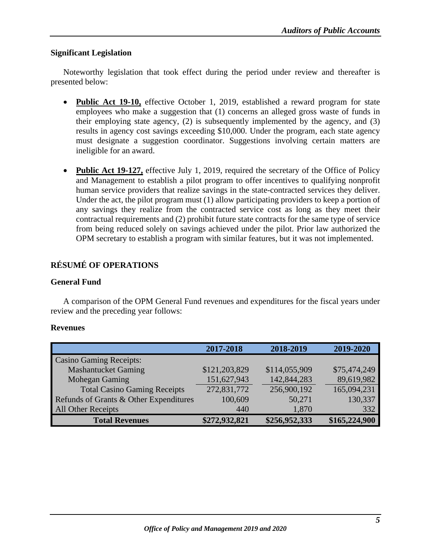# **Significant Legislation**

Noteworthy legislation that took effect during the period under review and thereafter is presented below:

- **Public Act 19-10,** effective October 1, 2019, established a reward program for state employees who make a suggestion that (1) concerns an alleged gross waste of funds in their employing state agency, (2) is subsequently implemented by the agency, and (3) results in agency cost savings exceeding \$10,000. Under the program, each state agency must designate a suggestion coordinator. Suggestions involving certain matters are ineligible for an award.
- **Public Act 19-127,** effective July 1, 2019, required the secretary of the Office of Policy and Management to establish a pilot program to offer incentives to qualifying nonprofit human service providers that realize savings in the state-contracted services they deliver. Under the act, the pilot program must (1) allow participating providers to keep a portion of any savings they realize from the contracted service cost as long as they meet their contractual requirements and (2) prohibit future state contracts for the same type of service from being reduced solely on savings achieved under the pilot. Prior law authorized the OPM secretary to establish a program with similar features, but it was not implemented.

# <span id="page-7-0"></span>**RÉSUMÉ OF OPERATIONS**

# <span id="page-7-1"></span>**General Fund**

A comparison of the OPM General Fund revenues and expenditures for the fiscal years under review and the preceding year follows:

# <span id="page-7-2"></span>**Revenues**

<span id="page-7-3"></span>

|                                        | 2017-2018     | 2018-2019     | 2019-2020     |
|----------------------------------------|---------------|---------------|---------------|
| <b>Casino Gaming Receipts:</b>         |               |               |               |
| <b>Mashantucket Gaming</b>             | \$121,203,829 | \$114,055,909 | \$75,474,249  |
| <b>Mohegan Gaming</b>                  | 151,627,943   | 142,844,283   | 89,619,982    |
| <b>Total Casino Gaming Receipts</b>    | 272,831,772   | 256,900,192   | 165,094,231   |
| Refunds of Grants & Other Expenditures | 100,609       | 50,271        | 130,337       |
| <b>All Other Receipts</b>              | 440           | 1,870         | 332           |
| <b>Total Revenues</b>                  | \$272,932,821 | \$256,952,333 | \$165,224,900 |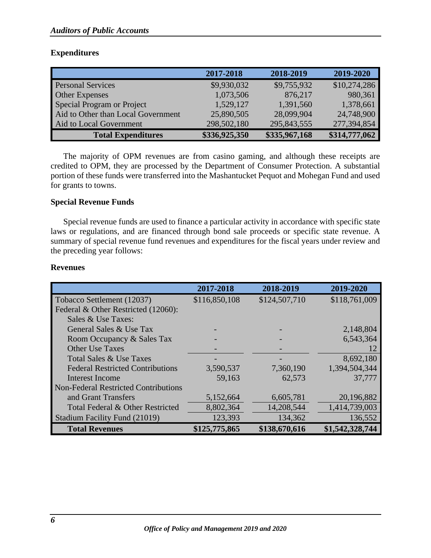# **Expenditures**

|                                    | 2017-2018     | 2018-2019     | 2019-2020     |
|------------------------------------|---------------|---------------|---------------|
| <b>Personal Services</b>           | \$9,930,032   | \$9,755,932   | \$10,274,286  |
| <b>Other Expenses</b>              | 1,073,506     | 876,217       | 980,361       |
| Special Program or Project         | 1,529,127     | 1,391,560     | 1,378,661     |
| Aid to Other than Local Government | 25,890,505    | 28,099,904    | 24,748,900    |
| Aid to Local Government            | 298,502,180   | 295,843,555   | 277,394,854   |
| <b>Total Expenditures</b>          | \$336,925,350 | \$335,967,168 | \$314,777,062 |

The majority of OPM revenues are from casino gaming, and although these receipts are credited to OPM, they are processed by the Department of Consumer Protection. A substantial portion of these funds were transferred into the Mashantucket Pequot and Mohegan Fund and used for grants to towns.

#### <span id="page-8-0"></span>**Special Revenue Funds**

Special revenue funds are used to finance a particular activity in accordance with specific state laws or regulations, and are financed through bond sale proceeds or specific state revenue. A summary of special revenue fund revenues and expenditures for the fiscal years under review and the preceding year follows:

#### <span id="page-8-1"></span>**Revenues**

<span id="page-8-2"></span>

|                                         | 2017-2018     | 2018-2019     | 2019-2020       |
|-----------------------------------------|---------------|---------------|-----------------|
| Tobacco Settlement (12037)              | \$116,850,108 | \$124,507,710 | \$118,761,009   |
| Federal & Other Restricted (12060):     |               |               |                 |
| Sales & Use Taxes:                      |               |               |                 |
| General Sales & Use Tax                 |               |               | 2,148,804       |
| Room Occupancy & Sales Tax              |               |               | 6,543,364       |
| <b>Other Use Taxes</b>                  |               |               | 12              |
| Total Sales & Use Taxes                 |               |               | 8,692,180       |
| <b>Federal Restricted Contributions</b> | 3,590,537     | 7,360,190     | 1,394,504,344   |
| Interest Income                         | 59,163        | 62,573        | 37,777          |
| Non-Federal Restricted Contributions    |               |               |                 |
| and Grant Transfers                     | 5,152,664     | 6,605,781     | 20,196,882      |
| Total Federal & Other Restricted        | 8,802,364     | 14,208,544    | 1,414,739,003   |
| Stadium Facility Fund (21019)           | 123,393       | 134,362       | 136,552         |
| <b>Total Revenues</b>                   | \$125,775,865 | \$138,670,616 | \$1,542,328,744 |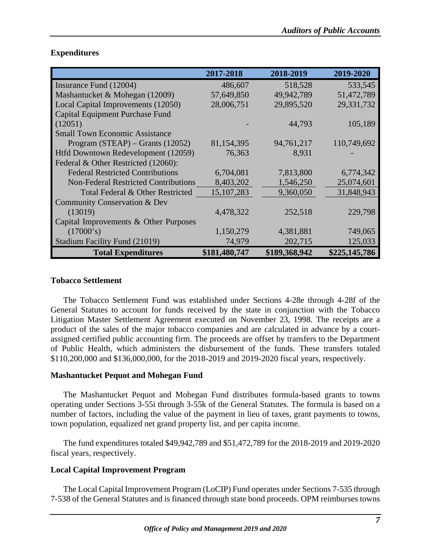|                                             | 2017-2018     | 2018-2019     | 2019-2020     |
|---------------------------------------------|---------------|---------------|---------------|
| Insurance Fund (12004)                      | 486,607       | 518,528       | 533,545       |
| Mashantucket & Mohegan (12009)              | 57,649,850    | 49,942,789    | 51,472,789    |
| Local Capital Improvements (12050)          | 28,006,751    | 29,895,520    | 29,331,732    |
| Capital Equipment Purchase Fund             |               |               |               |
| (12051)                                     |               | 44,793        | 105,189       |
| <b>Small Town Economic Assistance</b>       |               |               |               |
| Program $(STEAP)$ – Grants (12052)          | 81,154,395    | 94,761,217    | 110,749,692   |
| Htfd Downtown Redevelopment (12059)         | 76,363        | 8,931         |               |
| Federal & Other Restricted (12060):         |               |               |               |
| <b>Federal Restricted Contributions</b>     | 6,704,081     | 7,813,800     | 6,774,342     |
| <b>Non-Federal Restricted Contributions</b> | 8,403,202     | 1,546,250     | 25,074,601    |
| Total Federal & Other Restricted            | 15, 107, 283  | 9,360,050     | 31,848,943    |
| Community Conservation & Dev                |               |               |               |
| (13019)                                     | 4,478,322     | 252,518       | 229,798       |
| Capital Improvements & Other Purposes       |               |               |               |
| (17000's)                                   | 1,150,279     | 4,381,881     | 749,065       |
| Stadium Facility Fund (21019)               | 74,979        | 202,715       | 125,033       |
| <b>Total Expenditures</b>                   | \$181,480,747 | \$189,368,942 | \$225,145,786 |

# <span id="page-9-0"></span>**Tobacco Settlement**

The Tobacco Settlement Fund was established under Sections 4-28e through 4-28f of the General Statutes to account for funds received by the state in conjunction with the Tobacco Litigation Master Settlement Agreement executed on November 23, 1998. The receipts are a product of the sales of the major tobacco companies and are calculated in advance by a courtassigned certified public accounting firm. The proceeds are offset by transfers to the Department of Public Health, which administers the disbursement of the funds. These transfers totaled \$110,200,000 and \$136,000,000, for the 2018-2019 and 2019-2020 fiscal years, respectively.

# <span id="page-9-1"></span>**Mashantucket Pequot and Mohegan Fund**

The Mashantucket Pequot and Mohegan Fund distributes formula-based grants to towns operating under Sections 3-55i through 3-55k of the General Statutes. The formula is based on a number of factors, including the value of the payment in lieu of taxes, grant payments to towns, town population, equalized net grand property list, and per capita income.

The fund expenditures totaled \$49,942,789 and \$51,472,789 for the 2018-2019 and 2019-2020 fiscal years, respectively.

# <span id="page-9-2"></span>**Local Capital Improvement Program**

The Local Capital Improvement Program (LoCIP) Fund operates under Sections 7-535 through 7-538 of the General Statutes and is financed through state bond proceeds. OPM reimburses towns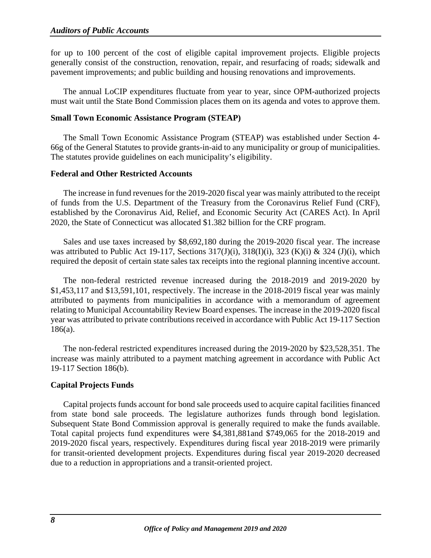for up to 100 percent of the cost of eligible capital improvement projects. Eligible projects generally consist of the construction, renovation, repair, and resurfacing of roads; sidewalk and pavement improvements; and public building and housing renovations and improvements.

The annual LoCIP expenditures fluctuate from year to year, since OPM-authorized projects must wait until the State Bond Commission places them on its agenda and votes to approve them.

#### <span id="page-10-0"></span>**Small Town Economic Assistance Program (STEAP)**

The Small Town Economic Assistance Program (STEAP) was established under Section 4- 66g of the General Statutes to provide grants-in-aid to any municipality or group of municipalities. The statutes provide guidelines on each municipality's eligibility.

#### <span id="page-10-1"></span>**Federal and Other Restricted Accounts**

The increase in fund revenues for the 2019-2020 fiscal year was mainly attributed to the receipt of funds from the U.S. Department of the Treasury from the Coronavirus Relief Fund (CRF), established by the Coronavirus Aid, Relief, and Economic Security Act (CARES Act). In April 2020, the State of Connecticut was allocated \$1.382 billion for the CRF program.

Sales and use taxes increased by \$8,692,180 during the 2019-2020 fiscal year. The increase was attributed to Public Act 19-117, Sections  $317(J)(i)$ ,  $318(J)(i)$ ,  $323(K)(i)$  &  $324(J)(i)$ , which required the deposit of certain state sales tax receipts into the regional planning incentive account.

The non-federal restricted revenue increased during the 2018-2019 and 2019-2020 by \$1,453,117 and \$13,591,101, respectively. The increase in the 2018-2019 fiscal year was mainly attributed to payments from municipalities in accordance with a memorandum of agreement relating to Municipal Accountability Review Board expenses. The increase in the 2019-2020 fiscal year was attributed to private contributions received in accordance with Public Act 19-117 Section 186(a).

The non-federal restricted expenditures increased during the 2019-2020 by \$23,528,351. The increase was mainly attributed to a payment matching agreement in accordance with Public Act 19-117 Section 186(b).

# <span id="page-10-2"></span>**Capital Projects Funds**

Capital projects funds account for bond sale proceeds used to acquire capital facilities financed from state bond sale proceeds. The legislature authorizes funds through bond legislation. Subsequent State Bond Commission approval is generally required to make the funds available. Total capital projects fund expenditures were \$4,381,881and \$749,065 for the 2018-2019 and 2019-2020 fiscal years, respectively. Expenditures during fiscal year 2018-2019 were primarily for transit-oriented development projects. Expenditures during fiscal year 2019-2020 decreased due to a reduction in appropriations and a transit-oriented project.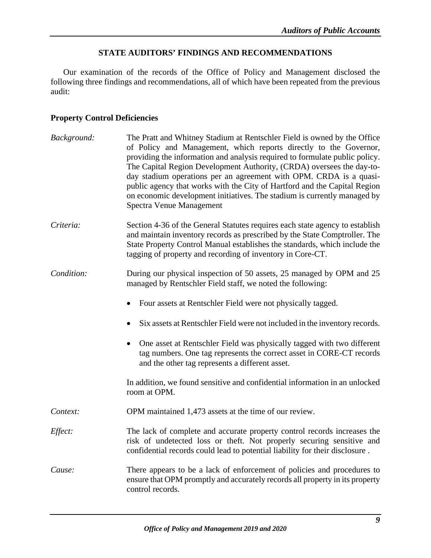# **STATE AUDITORS' FINDINGS AND RECOMMENDATIONS**

<span id="page-11-0"></span>Our examination of the records of the Office of Policy and Management disclosed the following three findings and recommendations, all of which have been repeated from the previous audit:

#### <span id="page-11-1"></span>**Property Control Deficiencies**

| Background: | The Pratt and Whitney Stadium at Rentschler Field is owned by the Office<br>of Policy and Management, which reports directly to the Governor,<br>providing the information and analysis required to formulate public policy.<br>The Capital Region Development Authority, (CRDA) oversees the day-to-<br>day stadium operations per an agreement with OPM. CRDA is a quasi-<br>public agency that works with the City of Hartford and the Capital Region<br>on economic development initiatives. The stadium is currently managed by<br>Spectra Venue Management |
|-------------|------------------------------------------------------------------------------------------------------------------------------------------------------------------------------------------------------------------------------------------------------------------------------------------------------------------------------------------------------------------------------------------------------------------------------------------------------------------------------------------------------------------------------------------------------------------|
| Criteria:   | Section 4-36 of the General Statutes requires each state agency to establish<br>and maintain inventory records as prescribed by the State Comptroller. The<br>State Property Control Manual establishes the standards, which include the<br>tagging of property and recording of inventory in Core-CT.                                                                                                                                                                                                                                                           |
| Condition:  | During our physical inspection of 50 assets, 25 managed by OPM and 25<br>managed by Rentschler Field staff, we noted the following:                                                                                                                                                                                                                                                                                                                                                                                                                              |
|             | Four assets at Rentschler Field were not physically tagged.<br>$\bullet$                                                                                                                                                                                                                                                                                                                                                                                                                                                                                         |
|             | Six assets at Rentschler Field were not included in the inventory records.                                                                                                                                                                                                                                                                                                                                                                                                                                                                                       |
|             | One asset at Rentschler Field was physically tagged with two different<br>tag numbers. One tag represents the correct asset in CORE-CT records<br>and the other tag represents a different asset.                                                                                                                                                                                                                                                                                                                                                                |
|             | In addition, we found sensitive and confidential information in an unlocked<br>room at OPM.                                                                                                                                                                                                                                                                                                                                                                                                                                                                      |
| Context:    | OPM maintained 1,473 assets at the time of our review.                                                                                                                                                                                                                                                                                                                                                                                                                                                                                                           |
| Effect:     | The lack of complete and accurate property control records increases the<br>risk of undetected loss or theft. Not properly securing sensitive and<br>confidential records could lead to potential liability for their disclosure.                                                                                                                                                                                                                                                                                                                                |
| Cause:      | There appears to be a lack of enforcement of policies and procedures to<br>ensure that OPM promptly and accurately records all property in its property<br>control records.                                                                                                                                                                                                                                                                                                                                                                                      |
|             |                                                                                                                                                                                                                                                                                                                                                                                                                                                                                                                                                                  |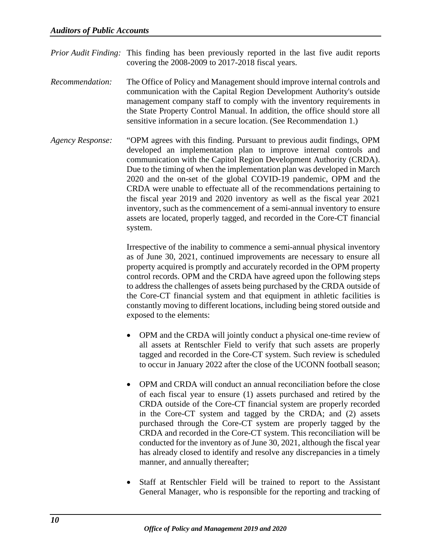*Prior Audit Finding:* This finding has been previously reported in the last five audit reports covering the 2008-2009 to 2017-2018 fiscal years.

- *Recommendation:* The Office of Policy and Management should improve internal controls and communication with the Capital Region Development Authority's outside management company staff to comply with the inventory requirements in the State Property Control Manual. In addition, the office should store all sensitive information in a secure location. (See Recommendation 1.)
- *Agency Response:* "OPM agrees with this finding. Pursuant to previous audit findings, OPM developed an implementation plan to improve internal controls and communication with the Capitol Region Development Authority (CRDA). Due to the timing of when the implementation plan was developed in March 2020 and the on-set of the global COVID-19 pandemic, OPM and the CRDA were unable to effectuate all of the recommendations pertaining to the fiscal year 2019 and 2020 inventory as well as the fiscal year 2021 inventory, such as the commencement of a semi-annual inventory to ensure assets are located, properly tagged, and recorded in the Core-CT financial system.

Irrespective of the inability to commence a semi-annual physical inventory as of June 30, 2021, continued improvements are necessary to ensure all property acquired is promptly and accurately recorded in the OPM property control records. OPM and the CRDA have agreed upon the following steps to address the challenges of assets being purchased by the CRDA outside of the Core-CT financial system and that equipment in athletic facilities is constantly moving to different locations, including being stored outside and exposed to the elements:

- OPM and the CRDA will jointly conduct a physical one-time review of all assets at Rentschler Field to verify that such assets are properly tagged and recorded in the Core-CT system. Such review is scheduled to occur in January 2022 after the close of the UCONN football season;
- OPM and CRDA will conduct an annual reconciliation before the close of each fiscal year to ensure (1) assets purchased and retired by the CRDA outside of the Core-CT financial system are properly recorded in the Core-CT system and tagged by the CRDA; and (2) assets purchased through the Core-CT system are properly tagged by the CRDA and recorded in the Core-CT system. This reconciliation will be conducted for the inventory as of June 30, 2021, although the fiscal year has already closed to identify and resolve any discrepancies in a timely manner, and annually thereafter;
- Staff at Rentschler Field will be trained to report to the Assistant General Manager, who is responsible for the reporting and tracking of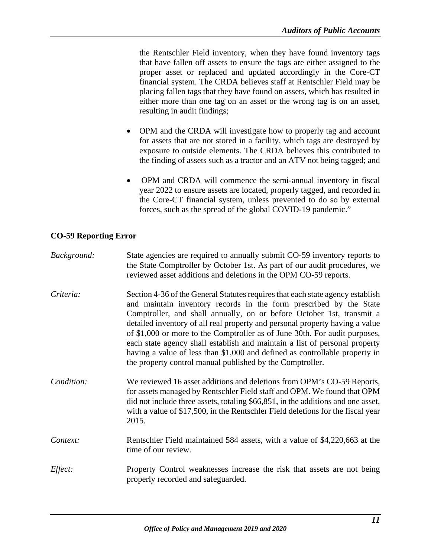the Rentschler Field inventory, when they have found inventory tags that have fallen off assets to ensure the tags are either assigned to the proper asset or replaced and updated accordingly in the Core-CT financial system. The CRDA believes staff at Rentschler Field may be placing fallen tags that they have found on assets, which has resulted in either more than one tag on an asset or the wrong tag is on an asset, resulting in audit findings;

- OPM and the CRDA will investigate how to properly tag and account for assets that are not stored in a facility, which tags are destroyed by exposure to outside elements. The CRDA believes this contributed to the finding of assets such as a tractor and an ATV not being tagged; and
- OPM and CRDA will commence the semi-annual inventory in fiscal year 2022 to ensure assets are located, properly tagged, and recorded in the Core-CT financial system, unless prevented to do so by external forces, such as the spread of the global COVID-19 pandemic."

# <span id="page-13-0"></span>**CO-59 Reporting Error**

| Background: | State agencies are required to annually submit CO-59 inventory reports to<br>the State Comptroller by October 1st. As part of our audit procedures, we<br>reviewed asset additions and deletions in the OPM CO-59 reports.                                                                                                                                                                                                                                                                                                                                                                                            |
|-------------|-----------------------------------------------------------------------------------------------------------------------------------------------------------------------------------------------------------------------------------------------------------------------------------------------------------------------------------------------------------------------------------------------------------------------------------------------------------------------------------------------------------------------------------------------------------------------------------------------------------------------|
| Criteria:   | Section 4-36 of the General Statutes requires that each state agency establish<br>and maintain inventory records in the form prescribed by the State<br>Comptroller, and shall annually, on or before October 1st, transmit a<br>detailed inventory of all real property and personal property having a value<br>of \$1,000 or more to the Comptroller as of June 30th. For audit purposes,<br>each state agency shall establish and maintain a list of personal property<br>having a value of less than \$1,000 and defined as controllable property in<br>the property control manual published by the Comptroller. |
| Condition:  | We reviewed 16 asset additions and deletions from OPM's CO-59 Reports,<br>for assets managed by Rentschler Field staff and OPM. We found that OPM<br>did not include three assets, totaling \$66,851, in the additions and one asset,<br>with a value of \$17,500, in the Rentschler Field deletions for the fiscal year<br>2015.                                                                                                                                                                                                                                                                                     |
| Context:    | Rentschler Field maintained 584 assets, with a value of \$4,220,663 at the<br>time of our review.                                                                                                                                                                                                                                                                                                                                                                                                                                                                                                                     |
| Effect:     | Property Control weaknesses increase the risk that assets are not being<br>properly recorded and safeguarded.                                                                                                                                                                                                                                                                                                                                                                                                                                                                                                         |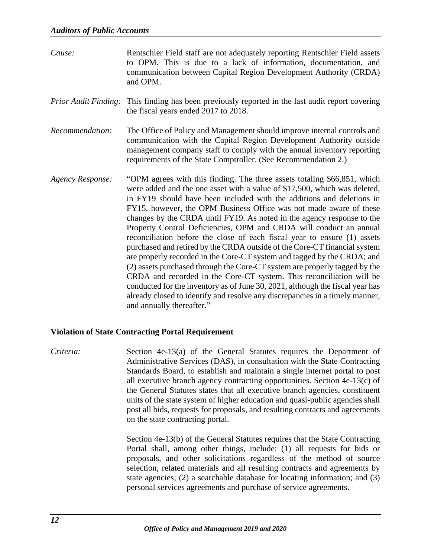| Cause:                  | Rentschler Field staff are not adequately reporting Rentschler Field assets<br>to OPM. This is due to a lack of information, documentation, and<br>communication between Capital Region Development Authority (CRDA)<br>and OPM.                                                                                                                                                                                                                                                                                                                                                                                                                                                                                                                                                                                                                                                                                                                                                                                                             |
|-------------------------|----------------------------------------------------------------------------------------------------------------------------------------------------------------------------------------------------------------------------------------------------------------------------------------------------------------------------------------------------------------------------------------------------------------------------------------------------------------------------------------------------------------------------------------------------------------------------------------------------------------------------------------------------------------------------------------------------------------------------------------------------------------------------------------------------------------------------------------------------------------------------------------------------------------------------------------------------------------------------------------------------------------------------------------------|
|                         | Prior Audit Finding: This finding has been previously reported in the last audit report covering<br>the fiscal years ended 2017 to 2018.                                                                                                                                                                                                                                                                                                                                                                                                                                                                                                                                                                                                                                                                                                                                                                                                                                                                                                     |
| Recommendation:         | The Office of Policy and Management should improve internal controls and<br>communication with the Capital Region Development Authority outside<br>management company staff to comply with the annual inventory reporting<br>requirements of the State Comptroller. (See Recommendation 2.)                                                                                                                                                                                                                                                                                                                                                                                                                                                                                                                                                                                                                                                                                                                                                  |
| <b>Agency Response:</b> | "OPM agrees with this finding. The three assets totaling \$66,851, which<br>were added and the one asset with a value of \$17,500, which was deleted,<br>in FY19 should have been included with the additions and deletions in<br>FY15, however, the OPM Business Office was not made aware of these<br>changes by the CRDA until FY19. As noted in the agency response to the<br>Property Control Deficiencies, OPM and CRDA will conduct an annual<br>reconciliation before the close of each fiscal year to ensure (1) assets<br>purchased and retired by the CRDA outside of the Core-CT financial system<br>are properly recorded in the Core-CT system and tagged by the CRDA; and<br>(2) assets purchased through the Core-CT system are properly tagged by the<br>CRDA and recorded in the Core-CT system. This reconciliation will be<br>conducted for the inventory as of June 30, 2021, although the fiscal year has<br>already closed to identify and resolve any discrepancies in a timely manner,<br>and annually thereafter." |

# <span id="page-14-0"></span>**Violation of State Contracting Portal Requirement**

*Criteria:* Section 4e-13(a) of the General Statutes requires the Department of Administrative Services (DAS), in consultation with the State Contracting Standards Board, to establish and maintain a single internet portal to post all executive branch agency contracting opportunities. Section 4e-13(c) of the General Statutes states that all executive branch agencies, constituent units of the state system of higher education and quasi-public agencies shall post all bids, requests for proposals, and resulting contracts and agreements on the state contracting portal.

> Section 4e-13(b) of the General Statutes requires that the State Contracting Portal shall, among other things, include: (1) all requests for bids or proposals, and other solicitations regardless of the method of source selection, related materials and all resulting contracts and agreements by state agencies; (2) a searchable database for locating information; and (3) personal services agreements and purchase of service agreements.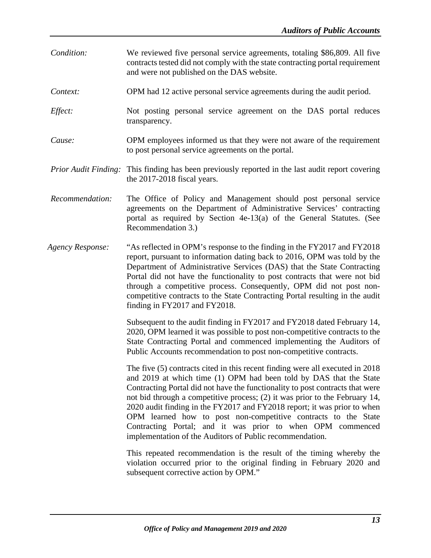- *Condition:* We reviewed five personal service agreements, totaling \$86,809. All five contracts tested did not comply with the state contracting portal requirement and were not published on the DAS website.
- *Context:* OPM had 12 active personal service agreements during the audit period.
- *Effect:* Not posting personal service agreement on the DAS portal reduces transparency.
- *Cause:* OPM employees informed us that they were not aware of the requirement to post personal service agreements on the portal.
- *Prior Audit Finding:* This finding has been previously reported in the last audit report covering the 2017-2018 fiscal years.
- *Recommendation:* The Office of Policy and Management should post personal service agreements on the Department of Administrative Services' contracting portal as required by Section 4e-13(a) of the General Statutes. (See Recommendation 3.)
- *Agency Response:* "As reflected in OPM's response to the finding in the FY2017 and FY2018 report, pursuant to information dating back to 2016, OPM was told by the Department of Administrative Services (DAS) that the State Contracting Portal did not have the functionality to post contracts that were not bid through a competitive process. Consequently, OPM did not post noncompetitive contracts to the State Contracting Portal resulting in the audit finding in FY2017 and FY2018.

Subsequent to the audit finding in FY2017 and FY2018 dated February 14, 2020, OPM learned it was possible to post non-competitive contracts to the State Contracting Portal and commenced implementing the Auditors of Public Accounts recommendation to post non-competitive contracts.

The five (5) contracts cited in this recent finding were all executed in 2018 and 2019 at which time (1) OPM had been told by DAS that the State Contracting Portal did not have the functionality to post contracts that were not bid through a competitive process; (2) it was prior to the February 14, 2020 audit finding in the FY2017 and FY2018 report; it was prior to when OPM learned how to post non-competitive contracts to the State Contracting Portal; and it was prior to when OPM commenced implementation of the Auditors of Public recommendation.

This repeated recommendation is the result of the timing whereby the violation occurred prior to the original finding in February 2020 and subsequent corrective action by OPM."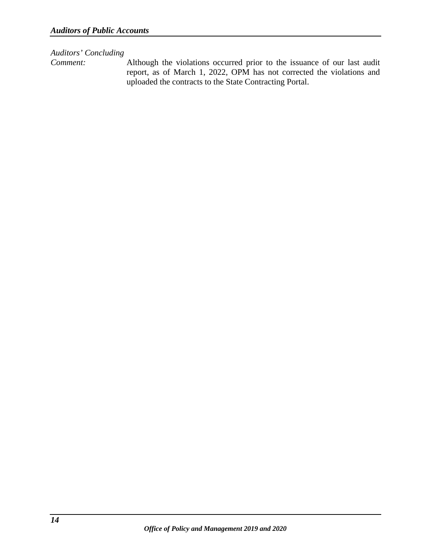# *Auditors' Concluding*

*Comment:* Although the violations occurred prior to the issuance of our last audit report, as of March 1, 2022, OPM has not corrected the violations and uploaded the contracts to the State Contracting Portal.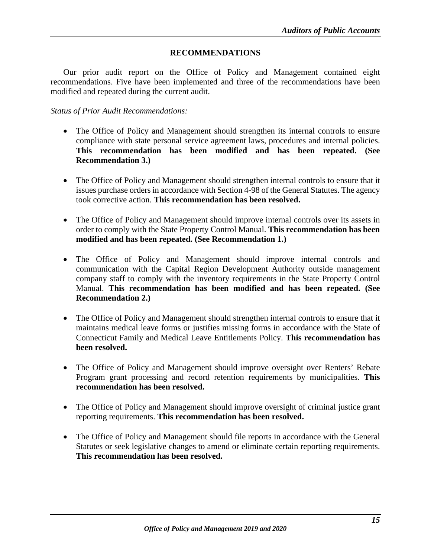#### **RECOMMENDATIONS**

<span id="page-17-0"></span>Our prior audit report on the Office of Policy and Management contained eight recommendations. Five have been implemented and three of the recommendations have been modified and repeated during the current audit.

#### *Status of Prior Audit Recommendations:*

- The Office of Policy and Management should strengthen its internal controls to ensure compliance with state personal service agreement laws, procedures and internal policies. **This recommendation has been modified and has been repeated. (See Recommendation 3.)**
- The Office of Policy and Management should strengthen internal controls to ensure that it issues purchase orders in accordance with Section 4-98 of the General Statutes. The agency took corrective action. **This recommendation has been resolved.**
- The Office of Policy and Management should improve internal controls over its assets in order to comply with the State Property Control Manual. **This recommendation has been modified and has been repeated. (See Recommendation 1.)**
- The Office of Policy and Management should improve internal controls and communication with the Capital Region Development Authority outside management company staff to comply with the inventory requirements in the State Property Control Manual. **This recommendation has been modified and has been repeated. (See Recommendation 2.)**
- The Office of Policy and Management should strengthen internal controls to ensure that it maintains medical leave forms or justifies missing forms in accordance with the State of Connecticut Family and Medical Leave Entitlements Policy. **This recommendation has been resolved.**
- The Office of Policy and Management should improve oversight over Renters' Rebate Program grant processing and record retention requirements by municipalities. **This recommendation has been resolved.**
- The Office of Policy and Management should improve oversight of criminal justice grant reporting requirements. **This recommendation has been resolved.**
- The Office of Policy and Management should file reports in accordance with the General Statutes or seek legislative changes to amend or eliminate certain reporting requirements. **This recommendation has been resolved.**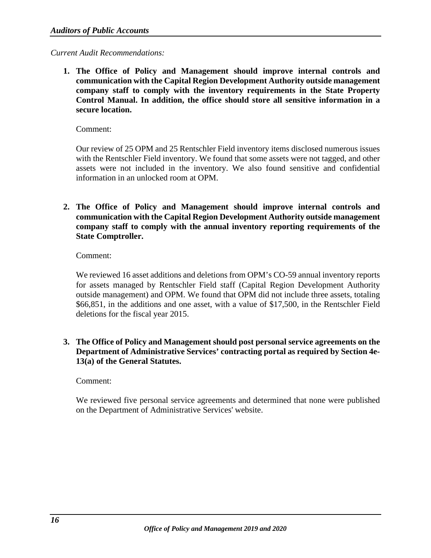#### *Current Audit Recommendations:*

**1. The Office of Policy and Management should improve internal controls and communication with the Capital Region Development Authority outside management company staff to comply with the inventory requirements in the State Property Control Manual. In addition, the office should store all sensitive information in a secure location.**

#### Comment:

Our review of 25 OPM and 25 Rentschler Field inventory items disclosed numerous issues with the Rentschler Field inventory. We found that some assets were not tagged, and other assets were not included in the inventory. We also found sensitive and confidential information in an unlocked room at OPM.

**2. The Office of Policy and Management should improve internal controls and communication with the Capital Region Development Authority outside management company staff to comply with the annual inventory reporting requirements of the State Comptroller.**

Comment:

We reviewed 16 asset additions and deletions from OPM's CO-59 annual inventory reports for assets managed by Rentschler Field staff (Capital Region Development Authority outside management) and OPM. We found that OPM did not include three assets, totaling \$66,851, in the additions and one asset, with a value of \$17,500, in the Rentschler Field deletions for the fiscal year 2015.

**3. The Office of Policy and Management should post personal service agreements on the Department of Administrative Services' contracting portal as required by Section 4e-13(a) of the General Statutes.**

Comment:

We reviewed five personal service agreements and determined that none were published on the Department of Administrative Services' website.